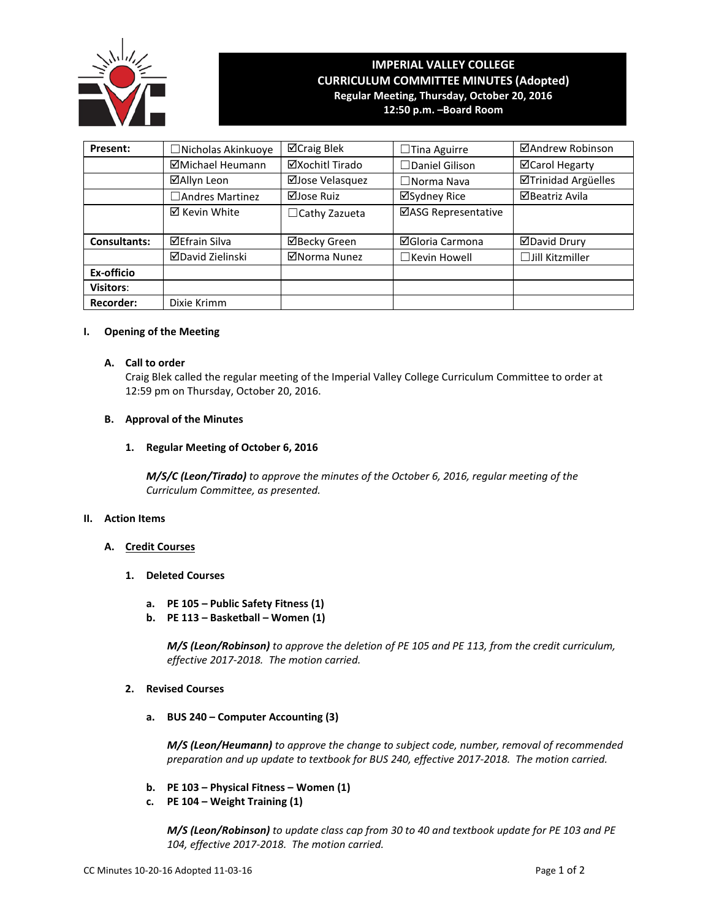

# **IMPERIAL VALLEY COLLEGE CURRICULUM COMMITTEE MINUTES (Adopted) Regular Meeting, Thursday, October 20, 2016**

**12:50 p.m. –Board Room**

| Present:            | <b>Nicholas Akinkuoye</b> | ⊠Craig Blek          | $\Box$ Tina Aguirre   | ⊠Andrew Robinson       |
|---------------------|---------------------------|----------------------|-----------------------|------------------------|
|                     | ⊠Michael Heumann          | ⊠Xochitl Tirado      | $\Box$ Daniel Gilison | ⊠Carol Hegarty         |
|                     | ⊠Allyn Leon               | ⊠Jose Velasquez      | $\Box$ Norma Nava     | ⊠Trinidad Argüelles    |
|                     | Andres Martinez           | ⊠Jose Ruiz           | ⊠Sydney Rice          | <b>ØBeatriz Avila</b>  |
|                     | ⊠ Kevin White             | $\Box$ Cathy Zazueta | ⊠ASG Representative   |                        |
| <b>Consultants:</b> | <b>⊠Efrain Silva</b>      | ⊠Becky Green         | ⊠Gloria Carmona       | <b>ØDavid Drury</b>    |
|                     | <b>ØDavid Zielinski</b>   | ⊠Norma Nunez         | $\Box$ Kevin Howell   | $\Box$ Jill Kitzmiller |
| Ex-officio          |                           |                      |                       |                        |
| <b>Visitors:</b>    |                           |                      |                       |                        |
| <b>Recorder:</b>    | Dixie Krimm               |                      |                       |                        |

## **I. Opening of the Meeting**

## **A. Call to order**

Craig Blek called the regular meeting of the Imperial Valley College Curriculum Committee to order at 12:59 pm on Thursday, October 20, 2016.

## **B. Approval of the Minutes**

# **1. Regular Meeting of October 6, 2016**

*M/S/C (Leon/Tirado) to approve the minutes of the October 6, 2016, regular meeting of the Curriculum Committee, as presented.* 

# **II. Action Items**

# **A. Credit Courses**

- **1. Deleted Courses**
	- **a. PE 105 – Public Safety Fitness (1)**
	- **b. PE 113 – Basketball – Women (1)**

*M/S (Leon/Robinson) to approve the deletion of PE 105 and PE 113, from the credit curriculum, effective 2017-2018. The motion carried.*

# **2. Revised Courses**

**a. BUS 240 – Computer Accounting (3)**

*M/S (Leon/Heumann) to approve the change to subject code, number, removal of recommended preparation and up update to textbook for BUS 240, effective 2017-2018. The motion carried.*

- **b. PE 103 – Physical Fitness – Women (1)**
- **c. PE 104 – Weight Training (1)**

*M/S (Leon/Robinson) to update class cap from 30 to 40 and textbook update for PE 103 and PE 104, effective 2017-2018. The motion carried.*